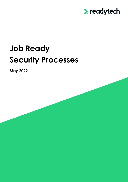

# **Job Ready Security Processes**

**May 2022**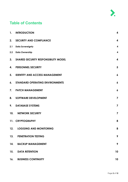

# **Table of Contents**

| $\mathbf{1}$ . | <b>INTRODUCTION</b>                         | 4                       |
|----------------|---------------------------------------------|-------------------------|
| 2.             | <b>SECURITY AND COMPLIANCE</b>              | 4                       |
| 2.1            | <b>Data Sovereignty</b>                     | $\boldsymbol{4}$        |
| 2.2            | <b>Data Ownership</b>                       | 4                       |
| 3.             | <b>SHARED SECURITY RESPONSIBILITY MODEL</b> | $\boldsymbol{4}$        |
| 4.             | <b>PERSONNEL SECURITY</b>                   | 5                       |
| 5.             | <b>IDENTITY AND ACCESS MANAGEMENT</b>       | 6                       |
| 6.             | <b>STANDARD OPERATING ENVIRONMENTS</b>      | $\boldsymbol{6}$        |
| 7.             | <b>PATCH MANAGEMENT</b>                     | $\boldsymbol{6}$        |
| 8.             | <b>SOFTWARE DEVELOPMENT</b>                 | $\overline{\mathbf{z}}$ |
| 9.             | <b>DATABASE SYSTEMS</b>                     | $\overline{\mathbf{z}}$ |
| 10.            | <b>NETWORK SECURITY</b>                     | $\overline{\mathbf{z}}$ |
|                | 11. CRYPTOGRAPHY                            | 8                       |
| 12.            | <b>LOGGING AND MONITORING</b>               | 8                       |
| 13.            | <b>PENETRATION TESTING</b>                  | 9                       |
| 14.            | <b>BACKUP MANAGEMENT</b>                    | 9                       |
| 15.            | <b>DATA RETENTION</b>                       | 10                      |
| 16.            | <b>BUSINESS CONTINUITY</b>                  | 10                      |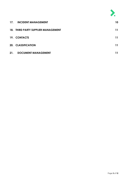

| 17. | <b>INCIDENT MANAGEMENT</b>          | 10 |
|-----|-------------------------------------|----|
|     | 18. THIRD PARTY SUPPLIER MANAGEMENT | 11 |
|     | 19. CONTACTS                        | 11 |
|     | <b>20. CLASSIFICATION</b>           | 11 |
| 21. | <b>DOCUMENT MANAGEMENT</b>          | 11 |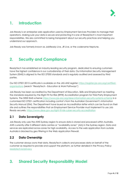

# <span id="page-3-0"></span>**1. Introduction**

Job Ready is an enterprise web application used by Employment Services Providers to manage their operations. Making sure your data is secure and protecting it is one of ReadyTech's most important responsibilities. We are committed to being transparent about our security practices and helping you understand our approach.

Job Ready was formerly known as JobReady Live, JR Live, or the codename Neptune.

# <span id="page-3-1"></span>**2. Security and Compliance**

ReadyTech has established an industry-leading security program, dedicated to ensuring customers have the highest confidence in our custodianship of their data. Our Information Security Management System (ISMS) is aligned to the ISO 27000 standards and is regularly audited and assessed by third parties.

Our ISO 27001:2013 certificate is available on the JAS-ANZ register: [https://register.jas-anz.org/certified](https://register.jas-anz.org/certified-organisations)[organisations](https://register.jas-anz.org/certified-organisations) (search "ReadyTech - Education & Work Pathways")

Job Ready has been accredited by the Department of Education, Skills and Employment as meeting the standards required by the Right Fit For Risk (RFFR) Accreditation program for Third Party Employment Systems. The DESE ISMS scheme<https://www.jas-anz.org/dese-information-security-systems-scheme> is a customised ISO 27001 certification including control's from the Australian Government's *Information Security Manual (ISM)*. The Department have issued an Accreditation letter which can be found on their site and outlines the responsibilities that an Employment Service Provider must implement to use Job Ready securely.<https://www.dese.gov.au/right-fit-risk-cyber-security-accreditation>

#### <span id="page-3-2"></span>**2.1 Data Sovereignty**

Job Ready only uses the AWS Sydney region to ensure data is stored and processed within Australia. AWS currently offer 3 different data centres or "availability zones" (AZs) in the Sydney region. Data and services are replicated across zones for high availability. Access to the web application from outside Australia is blocked by geo filtering in the Web Application Firewall.

#### <span id="page-3-3"></span>**2.2 Data Ownership**

The customer always owns their data. ReadyTech collects and processes data on behalf of the customer as required to provide and support the platform, as further detailed in the Privacy Policy: [readytech.io/privacy](https://www.readytech.com.au/privacy)

# <span id="page-3-4"></span>**3. Shared Security Responsibility Model**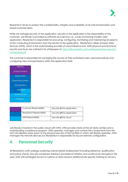

ReadyTech strives to protect the confidentiality, integrity and availability of all critical information and stored customer data.

While we manage security *of* the application, security *in* the application is the responsibility of the customer. Job Ready is provided as software-as-a-service, i.e., a fully functioning modern web application. ReadyTech is responsible for procuring, configuring, monitoring and maintaining all aspects of the computing environment, from the servers to the application. ReadyTech utilises Amazon Web Services (AWS), which is the world leading provider of cloud infrastructure. AWS physical and technical security practices are outlined in its whitepaper at [https://d0.awsstatic.com/whitepapers/aws-security](https://d0.awsstatic.com/whitepapers/aws-security-whitepaper.pdf)[whitepaper.pdf](https://d0.awsstatic.com/whitepapers/aws-security-whitepaper.pdf)

The customer is responsible for managing the access of their authorised users, password policies and configuring roles and permissions within the application itself.

| <b>Identity</b>         |  |  |
|-------------------------|--|--|
| Data/Content            |  |  |
| Application             |  |  |
| <b>Operating System</b> |  |  |
| Virtualisation          |  |  |
| <b>Network</b>          |  |  |
| Infrastructure          |  |  |
| Physical                |  |  |

| Customer Responsibility  | Security in the application |
|--------------------------|-----------------------------|
| ReadyTech Responsibility | Security of the application |
| AWS Responsibility       | Security of the cloud       |

Job Ready is hosted in the public cloud with AWS. AWS provides state-of-the-art data centers and a world-leading compliance program. AWS operates, manages and controls the components from the host virtualization layer down to the physical security of the facilities in which Job Ready operates. AWS manages the network devices but ReadyTech is responsible for secure network configuration.

#### <span id="page-4-0"></span>**4. Personnel Security**

All ReadyTech staff undergo screening checks before employment including reference, qualification and police checks. Security awareness training is provided at initiation and continuously throughout the year. Staff with privileged access to systems or data receive additional job-specific training on privacy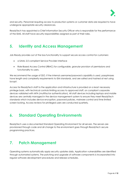

and security. Personnel requiring access to production systems or customer data are required to have undergone appropriate security clearances.

ReadyTech has appointed a Chief Information Security Officer who is responsible for the performance of the ISMS. All staff have security responsibilities assigned as part of their roles.

#### <span id="page-5-0"></span>**5. Identity and Access Management**

Job Ready provides out of the box functionality to support secure access control for customers:

- a SAML 2.0 compliant Service Provider interface
- Role-Based Access Control (RBAC) for configurable, granular provision of permissions and functionality to users.

We recommend the usage of SSO. If the internal username/password capability is used, passphrases have length and complexity requirements to ISM standards, and are salted and hashed at rest using bcrypt.

Access for ReadyTech staff to the application and infrastructure is provided on a least necessary privilege basis, with technical controls limiting access to approved staff, on compliant corporate devices validated with MFA (multifactor authentication). All staff devices including laptops and mobile devices are centrally managed in the device management system to ensure they meet ReadyTech standards which includes device encryption, password policies, malware control and time limited screen locking. Access reviews for privileged users are conducted quarterly.

## <span id="page-5-1"></span>**6. Standard Operating Environments**

ReadyTech uses a documented Standard Operating Environment for all servers. The servers are provisioned through code and all change to the environment goes through ReadyTech secure programming practices.

# <span id="page-5-2"></span>**7. Patch Management**

Operating systems automatically apply security updates daily. Application vulnerabilities are identified through automated systems. The patching and upgrade of software components is incorporated into regular software development procedures and release schedules.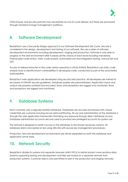

Critical issues and security patches may necessitate an out-of-cycle release, but these are processed through standard change management workflows.

#### <span id="page-6-0"></span>**8. Software Development**

ReadyTech uses a Secure By Design approach in our Software Development Life Cycle. Security is considered in the design, development and testing of our software. We use a series of software development environments including development, staging and production. Software is only able to progress to the next environment after it passes all the checks at each level including mandatory internal peer code review, static code analysis, automated unit and integration testing, manual QA and UAT.

Access to release branches in the code version repository is strictly limited. ReadyTech use static code analysis tools to identify known vulnerabilities in developed code, conducted as part of the automated build pipeline.

ReadyTech web applications are developed using security best practice. All developers are trained to be aware of OWASP security guidelines. Database queries are parameterized. Application inputs and outputs are properly sanitised and encoded. Errors and exceptions are logged and monitored. Errors and exceptions are logged and monitored.

#### <span id="page-6-1"></span>**9. Database Systems**

Each customer uses a logically isolated database. Databases are securely provisioned with unique credentials per customer ensuring secure data partitioning. All use and administration of the database is through the web application frameworks minimizing any exposure through direct database access. Database administrator accounts are only used to provision less privileged accounts for system use.

The network is designed to restrict access to the database to the fewest necessary systems. All database data is encrypted at rest using AES-256 with secure key management procedures.

Production, test and development environments are strictly separated on both the database and application server basis.

# <span id="page-6-2"></span>**10. Network Security**

ReadyTech divides its systems into separate networks (AWS VPCs) to better protect more sensitive data. Systems supporting testing and development activities are hosted on a separate network from production systems. Customer data is only permitted to exist in the production and staging networks.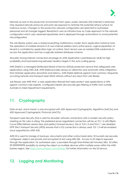

Network access to the production environment from open, public networks (the internet) is restricted. Only required network protocols and ports are exposed to minimize the potential attack surface for malicious actors. Changes to the production network configuration are restricted to authorised personnel and all changes logged. ReadyTech uses an Infrastructure as Code approach to the network configuration which uses versioned repositories and is deployed through automations to avoid potential misconfiguration.

The Job Ready system uses a shared everything multitenancy model. Each application instance hosts the operations of multiple tenants in its own internal address and control space. Logical separation of tenants is controlled by application logic at runtime. Each tenant uses an isolated DNS subdomain to access the application and has a logically isolated database schema.

All public facing internet connections leverage an AWS Application Load Balancer (ALB) for high availability and load balancing between healthy targets in the auto scaling group.

AWS Shield is a managed Distributed Denial of Service (DDoS) protection service that safeguards web applications using AWS ALB. AWS Shield provides always-on detection and automatic inline mitigations that minimize application downtime and latency. AWS Shield defends against most common, frequently occurring network and transport layer DDoS attacks without any input from Job Ready.

Job Ready uses AWS WAF, a web application firewall that helps protect web applications or APIs against common web exploits. Configured rulesets also provide geo-filtering of traffic from outside Australia to meet Department requirements.

# <span id="page-7-0"></span>**11. Cryptography**

Data at rest, and in transit, is only encrypted with ASD Approved Cryptographic Algorithms (AACAs) and ASD Approved Cryptographic Protocols (AACPs).

Transport Layer Security (TLS) is used for all public network connections with a modern security policy meeting an SSL Labs A rating. The preferred server negotiated connection will be on TLS 1.2 with Elliptic Curve Diffie-Helman session keys and perfect forward secrecy. SSLv3, TLSv1.0 and TLSv1.1 are disabled. HTTP Strict Transport Security (HSTS) ensures that a TLS connection is always used. TLS 1.3 will be enabled once supported by AWS ALB.

AWS S3 is used for storage of backups, documents and other unstructured data. S3 buckets are securely configured, objects are private and encrypted at rest using AES-256. Access to S3 objects exposed through the application, for authorised users, is provided through time limited (60 minutes) URLs. S3 offers 99.999999999% durability by storing the object on multiple devices within multiple zones within the AWS Sydney region. See<https://aws.amazon.com/s3/faqs/> for further information on the S3 service.

# <span id="page-7-1"></span>**12. Logging and Monitoring**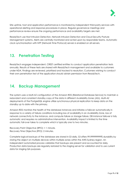

Site uptime, host and application performance is monitored by independent third-party services with operational alerting and response procedures in place. Regular governance meetings and performance review ensure the ongoing performance and availability targets are met.

ReadyTech use Host Intrusion Detection, Network Intrusion Detection and Cloud Security Posture Management systems. Alerts are centrally monitored and acted upon by responsible teams. Automatic clock synchronisation with NTP (Network Time Protocol) servers is enabled on all servers.

#### <span id="page-8-0"></span>**13. Penetration Testing**

ReadyTech engages independent, CREST certified entities to conduct application penetration tests annually. Results of these tests are shared with ReadyTech management and available to customers under NDA. Findings are reviewed, prioritised and tracked to resolution. Customers wishing to conduct their own penetration test of the application should obtain permission from ReadyTech.

#### <span id="page-8-1"></span>**14. Backup Management**

The system uses a Multi-AZ configuration of the Amazon RDS (Relational Database Service) to maintain a redundant and consistent standby copy of the data in different Availability Zones (AZs). Multi-AZ deployments of the PostgreSQL engine utilize synchronous physical replication to keep data on the standby up to date with the primary.

Amazon RDS monitors the health of the database instances and initiates a failover automatically in response to a variety of failure conditions including loss of availability in an Availability Zone, loss of network connectivity to the instance, and compute failure or storage failure. DB instance failover is fully automatic and requires no administrative intervention. Availability impact is limited to the time automatic fail-over takes to complete which is typically one to two minutes.

Recovery Point Objective (RPO): < 1 minute. Recovery Time Objective (RTO): 2 minutes.

Complete logical backups of the database are stored in S3 daily. S3 offers 99.999999999% durability by storing the object on multiple devices within multiple zones within the AWS Sydney region. An independent automated process validates that backups are present and accounted for daily. Production data backups are regularly restored to the staging server for validation and to use current data for staging QA purposes.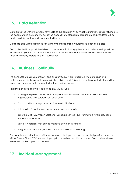

# <span id="page-9-0"></span>**15. Data Retention**

Data is retained within the system for the life of the contract. At contract termination, data is returned to the customer and permanently destroyed according to standard operating procedures. Data will be made available in standard, documented formats.

Database backups are retained for 12 months and deleted by automated lifecycle policies.

Data collected to support the delivery of the service, including system event and access logs will be retained for 7 years in accordance with the National Archives of Australia's Administrative Functions Disposal Authority Express Version 2 publication.

# <span id="page-9-1"></span>**16. Business Continuity**

The concepts of business continuity and disaster recovery are integrated into our design and architecture of highly available systems in the public cloud. Failure is routinely expected, planned for, tested and managed with automated systems and redundancy.

Resilience and scalability are addressed on AWS through:

- Running multiple EC2 instances in multiple Availability Zones (distinct locations that are engineered to be insulated from each other)
- Elastic Load Balancing across multiple Availability Zones
- Auto scaling for automated instance recovery and scaling
- Using the Multi-AZ Amazon Relational Database Service (RDS) for multiple Availability Zone managed databases
- Elastic IP Addresses that can be mapped between instances
- Using Amazon S3 simple, durable, massively scalable data storage

The complete infrastructure is built from code and deployed through automated pipelines, from the Virtual Private Cloud (VPC) network layer up to the web application instances. Data and assets are versioned, backed up and monitored.

#### <span id="page-9-2"></span>**17. Incident Management**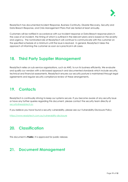

ReadyTech has documented Incident Response, Business Continuity, Disaster Recovery, Security and Data Breach Response, and Crisis Management Plans that are tested at least annually.

Customers will be notified in accordance with our Incident response or Data Breach response plans in the case of an incident, the timing of which is outlined in the relevant plans and is based on the severity and urgency. The nominated role at ReadyTech will continue to communicate with the customer on the specified schedule at a minimum until the issue is resolved. In general, ReadyTech takes the approach of informing the customer as soon as is practical in all cases.

#### <span id="page-10-0"></span>**18. Third Party Supplier Management**

ReadyTech relies on sub-service organisations, such as AWS, to run its business efficiently. We evaluate and qualify our vendors with a risk-based approach and documented standards which include security, technical and financial assessments. ReadyTech ensures our security posture is maintained through legal agreements and regular security compliance review of these arrangements.

## <span id="page-10-1"></span>**19. Contacts**

ReadyTech is continually striving to keep our systems secure. If you become aware of any security issue or have any further queries regarding this document, please contact the security team directly at [security@readytech.io.](mailto:security@readytech.io)

If you believe you have found a security vulnerability, please see our Vulnerability Disclosure Policy

<https://www.readytech.com.au/vulnerability-disclosure>

# <span id="page-10-2"></span>**20. Classification**

This document is **Public**; it is approved for public release.

## <span id="page-10-3"></span>**21. Document Management**